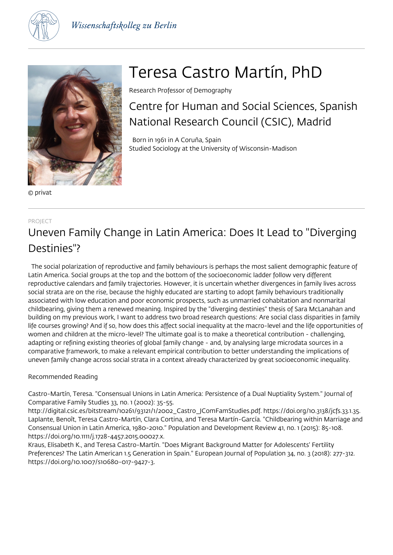



© privat

# Teresa Castro Martín, PhD

Research Professor of Demography

Centre for Human and Social Sciences, Spanish National Research Council (CSIC), Madrid

 Born in 1961 in A Coruña, Spain Studied Sociology at the University of Wisconsin-Madison

#### PROJECT

## Uneven Family Change in Latin America: Does It Lead to "Diverging Destinies"?

 The social polarization of reproductive and family behaviours is perhaps the most salient demographic feature of Latin America. Social groups at the top and the bottom of the socioeconomic ladder follow very different reproductive calendars and family trajectories. However, it is uncertain whether divergences in family lives across social strata are on the rise, because the highly educated are starting to adopt family behaviours traditionally associated with low education and poor economic prospects, such as unmarried cohabitation and nonmarital childbearing, giving them a renewed meaning. Inspired by the "diverging destinies" thesis of Sara McLanahan and building on my previous work, I want to address two broad research questions: Are social class disparities in family life courses growing? And if so, how does this affect social inequality at the macro-level and the life opportunities of women and children at the micro-level? The ultimate goal is to make a theoretical contribution - challenging, adapting or refining existing theories of global family change - and, by analysing large microdata sources in a comparative framework, to make a relevant empirical contribution to better understanding the implications of uneven family change across social strata in a context already characterized by great socioeconomic inequality.

#### Recommended Reading

Castro-Martín, Teresa. "Consensual Unions in Latin America: Persistence of a Dual Nuptiality System." Journal of Comparative Family Studies 33, no. 1 (2002): 35-55.

http://digital.csic.es/bitstream/10261/93121/1/2002\_Castro\_JComFamStudies.pdf. https://doi.org/10.3138/jcfs.33.1.35. Laplante, Benoît, Teresa Castro-Martín, Clara Cortina, and Teresa Martín-García. "Childbearing within Marriage and Consensual Union in Latin America, 1980-2010." Population and Development Review 41, no. 1 (2015): 85-108. https://doi.org/10.1111/j.1728-4457.2015.00027.x.

Kraus, Elisabeth K., and Teresa Castro-Martín. "Does Migrant Background Matter for Adolescents' Fertility Preferences? The Latin American 1.5 Generation in Spain." European Journal of Population 34, no. 3 (2018): 277-312. https://doi.org/10.1007/s10680-017-9427-3.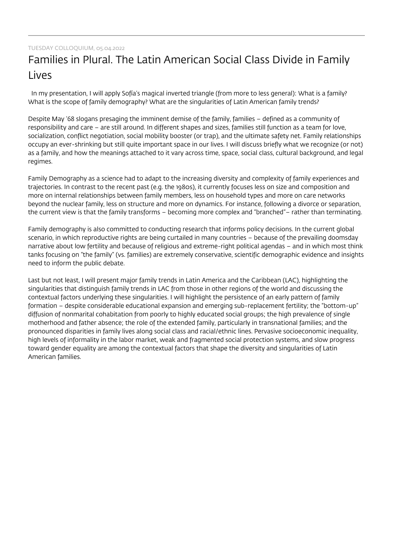## Families in Plural. The Latin American Social Class Divide in Family Lives

 In my presentation, I will apply Sofía's magical inverted triangle (from more to less general): What is a family? What is the scope of family demography? What are the singularities of Latin American family trends?

Despite May '68 slogans presaging the imminent demise of the family, families – defined as a community of responsibility and care – are still around. In different shapes and sizes, families still function as a team for love, socialization, conflict negotiation, social mobility booster (or trap), and the ultimate safety net. Family relationships occupy an ever-shrinking but still quite important space in our lives. I will discuss briefly what we recognize (or not) as a family, and how the meanings attached to it vary across time, space, social class, cultural background, and legal regimes.

Family Demography as a science had to adapt to the increasing diversity and complexity of family experiences and trajectories. In contrast to the recent past (e.g. the 1980s), it currently focuses less on size and composition and more on internal relationships between family members, less on household types and more on care networks beyond the nuclear family, less on structure and more on dynamics. For instance, following a divorce or separation, the current view is that the family transforms – becoming more complex and "branched"– rather than terminating.

Family demography is also committed to conducting research that informs policy decisions. In the current global scenario, in which reproductive rights are being curtailed in many countries – because of the prevailing doomsday narrative about low fertility and because of religious and extreme-right political agendas – and in which most think tanks focusing on "the family" (vs. families) are extremely conservative, scientific demographic evidence and insights need to inform the public debate.

Last but not least, I will present major family trends in Latin America and the Caribbean (LAC), highlighting the singularities that distinguish family trends in LAC from those in other regions of the world and discussing the contextual factors underlying these singularities. I will highlight the persistence of an early pattern of family formation – despite considerable educational expansion and emerging sub-replacement fertility; the "bottom-up" diffusion of nonmarital cohabitation from poorly to highly educated social groups; the high prevalence of single motherhood and father absence; the role of the extended family, particularly in transnational families; and the pronounced disparities in family lives along social class and racial/ethnic lines. Pervasive socioeconomic inequality, high levels of informality in the labor market, weak and fragmented social protection systems, and slow progress toward gender equality are among the contextual factors that shape the diversity and singularities of Latin American families.